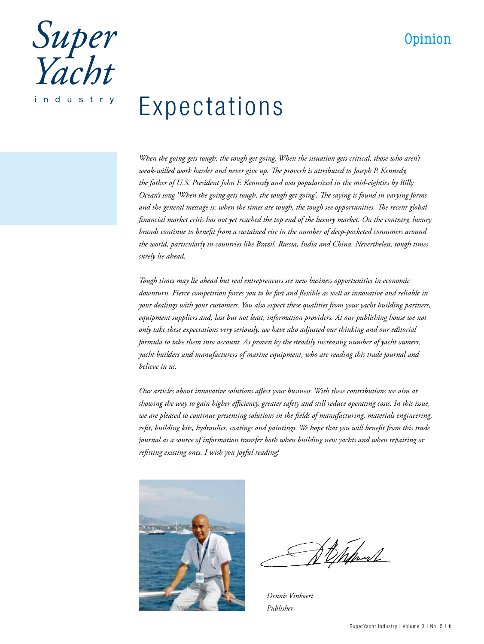## Opinion

Super<br>Yacht industry

# Expectations

*When the going gets tough, the tough get going. When the situation gets critical, those who aren't weak-willed work harder and never give up. The proverb is attributed to Joseph P. Kennedy, the father of U.S. President John F. Kennedy and was popularized in the mid-eighties by Billy Ocean's song 'When the going gets tough, the tough get going'. The saying is found in varying forms and the general message is: when the times are tough, the tough see opportunities. The recent global financial market crisis has not yet reached the top end of the luxury market. On the contrary, luxury brands continue to benefit from a sustained rise in the number of deep-pocketed consumers around the world, particularly in countries like Brazil, Russia, India and China. Nevertheless, tough times surely lie ahead.*

*Tough times may lie ahead but real entrepreneurs see new business opportunities in economic downturn. Fierce competition forces you to be fast and flexible as well as innovative and reliable in your dealings with your customers. You also expect these qualities from your yacht building partners, equipment suppliers and, last but not least, information providers. At our publishing house we not only take these expectations very seriously, we have also adjusted our thinking and our editorial formula to take them into account. As proven by the steadily increasing number of yacht owners, yacht builders and manufacturers of marine equipment, who are reading this trade journal and believe in us.*

*Our articles about innovative solutions affect your business. With these contributions we aim at showing the way to gain higher efficiency, greater safety and still reduce operating costs. In this issue, we are pleased to continue presenting solutions in the fields of manufacturing, materials engineering, refit, building kits, hydraulics, coatings and paintings. We hope that you will benefit from this trade journal as a source of information transfer both when building new yachts and when repairing or refitting existing ones. I wish you joyful reading!*



Channe

*Dennis Vinkoert Publisher*